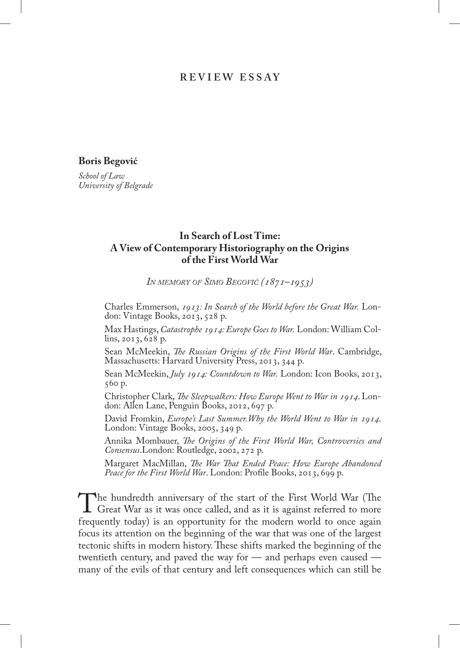## **R ev i ew e s s ay**

**Boris Begović**

*School of Law University of Belgrade*

## **In Search of Lost Time: A View of Contemporary Historiography on the Origins of the First World War**

*In memory of Simo Begović (1871–1953)*

Charles Emmerson, *1913: In Search of the World before the Great War.* London: Vintage Books, 2013, 528 p.

Max Hastings, *Catastrophe 1914: Europe Goes to War.* London: William Collins, 2013, 628 p.

Sean McMeekin, *The Russian Origins of the First World War*. Cambridge, Massachusetts: Harvard University Press, 2013, 344 p.

Sean McMeekin, *July 1914: Countdown to War.* London: Icon Books, 2013, 560 p.

Christopher Clark, *The Sleepwalkers: How Europe Went to War in 1914*. Lon- don: Allen Lane, Penguin Books, 2012, 697 p.

David Fromkin, *Europe's Last Summer.Why the World Went to War in 1914*. London: Vintage Books, 2005, 349 p.

Annika Mombauer, *The Origins of the First World War, Controversies and Consensus*.London: Routledge, 2002, 272 p.

Margaret MacMillan, *The War That Ended Peace: How Europe Abandoned*  Peace for the First World War. London: Profile Books, 2013, 699 p.

The hundredth anniversary of the start of the First World War (The Great War as it was once called, and as it is against referred to more frequently today) is an opportunity for the modern world to once again frequently today) is an opportunity for the modern world to once again focus its attention on the beginning of the war that was one of the largest tectonic shifts in modern history. These shifts marked the beginning of the twentieth century, and paved the way for — and perhaps even caused many of the evils of that century and left consequences which can still be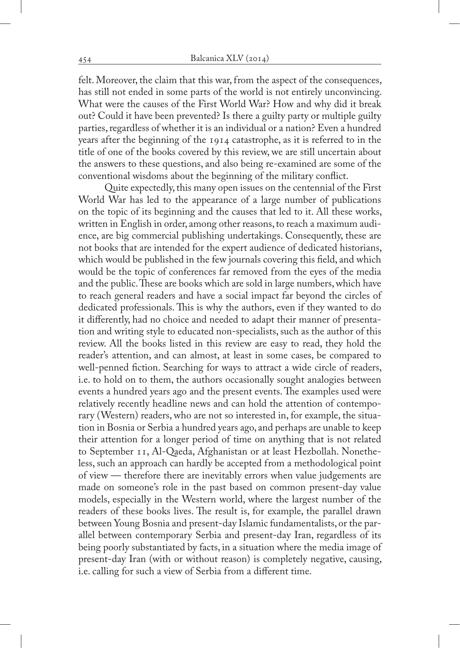felt. Moreover, the claim that this war, from the aspect of the consequences, has still not ended in some parts of the world is not entirely unconvincing. What were the causes of the First World War? How and why did it break out? Could it have been prevented? Is there a guilty party or multiple guilty parties, regardless of whether it is an individual or a nation? Even a hundred years after the beginning of the 1914 catastrophe, as it is referred to in the title of one of the books covered by this review, we are still uncertain about the answers to these questions, and also being re-examined are some of the conventional wisdoms about the beginning of the military conflict.

Quite expectedly, this many open issues on the centennial of the First World War has led to the appearance of a large number of publications on the topic of its beginning and the causes that led to it. All these works, written in English in order, among other reasons, to reach a maximum audience, are big commercial publishing undertakings. Consequently, these are not books that are intended for the expert audience of dedicated historians, which would be published in the few journals covering this field, and which would be the topic of conferences far removed from the eyes of the media and the public. These are books which are sold in large numbers, which have to reach general readers and have a social impact far beyond the circles of dedicated professionals. This is why the authors, even if they wanted to do it differently, had no choice and needed to adapt their manner of presentation and writing style to educated non-specialists, such as the author of this review. All the books listed in this review are easy to read, they hold the reader's attention, and can almost, at least in some cases, be compared to well-penned fiction. Searching for ways to attract a wide circle of readers, i.e. to hold on to them, the authors occasionally sought analogies between events a hundred years ago and the present events. The examples used were relatively recently headline news and can hold the attention of contemporary (Western) readers, who are not so interested in, for example, the situation in Bosnia or Serbia a hundred years ago, and perhaps are unable to keep their attention for a longer period of time on anything that is not related to September 11, Al-Qaeda, Afghanistan or at least Hezbollah. Nonetheless, such an approach can hardly be accepted from a methodological point of view — therefore there are inevitably errors when value judgements are made on someone's role in the past based on common present-day value models, especially in the Western world, where the largest number of the readers of these books lives. The result is, for example, the parallel drawn between Young Bosnia and present-day Islamic fundamentalists, or the parallel between contemporary Serbia and present-day Iran, regardless of its being poorly substantiated by facts, in a situation where the media image of present-day Iran (with or without reason) is completely negative, causing, i.e. calling for such a view of Serbia from a different time.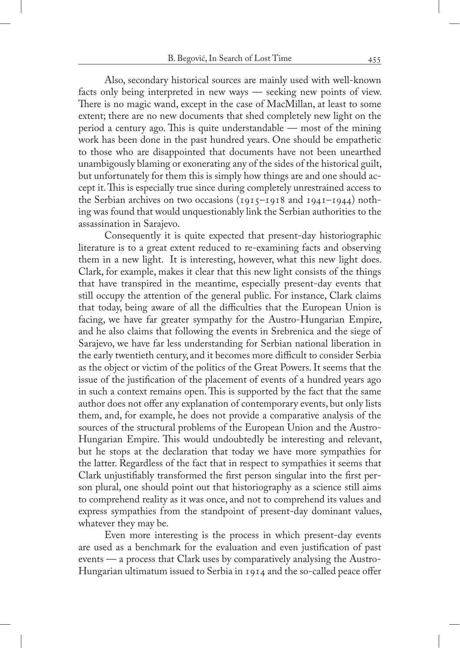Also, secondary historical sources are mainly used with well-known facts only being interpreted in new ways — seeking new points of view. There is no magic wand, except in the case of MacMillan, at least to some extent; there are no new documents that shed completely new light on the period a century ago. This is quite understandable — most of the mining work has been done in the past hundred years. One should be empathetic to those who are disappointed that documents have not been unearthed unambigously blaming or exonerating any of the sides of the historical guilt, but unfortunately for them this is simply how things are and one should accept it. This is especially true since during completely unrestrained access to the Serbian archives on two occasions (1915–1918 and 1941–1944) nothing was found that would unquestionably link the Serbian authorities to the assassination in Sarajevo.

Consequently it is quite expected that present-day historiographic literature is to a great extent reduced to re-examining facts and observing them in a new light. It is interesting, however, what this new light does. Clark, for example, makes it clear that this new light consists of the things that have transpired in the meantime, especially present-day events that still occupy the attention of the general public. For instance, Clark claims that today, being aware of all the difficulties that the European Union is facing, we have far greater sympathy for the Austro-Hungarian Empire, and he also claims that following the events in Srebrenica and the siege of Sarajevo, we have far less understanding for Serbian national liberation in the early twentieth century, and it becomes more difficult to consider Serbia as the object or victim of the politics of the Great Powers. It seems that the issue of the justification of the placement of events of a hundred years ago in such a context remains open. This is supported by the fact that the same author does not offer any explanation of contemporary events, but only lists them, and, for example, he does not provide a comparative analysis of the sources of the structural problems of the European Union and the Austro-Hungarian Empire. This would undoubtedly be interesting and relevant, but he stops at the declaration that today we have more sympathies for the latter. Regardless of the fact that in respect to sympathies it seems that Clark unjustifiably transformed the first person singular into the first person plural, one should point out that historiography as a science still aims to comprehend reality as it was once, and not to comprehend its values and express sympathies from the standpoint of present-day dominant values, whatever they may be.

Even more interesting is the process in which present-day events are used as a benchmark for the evaluation and even justification of past events — a process that Clark uses by comparatively analysing the Austro-Hungarian ultimatum issued to Serbia in 1914 and the so-called peace offer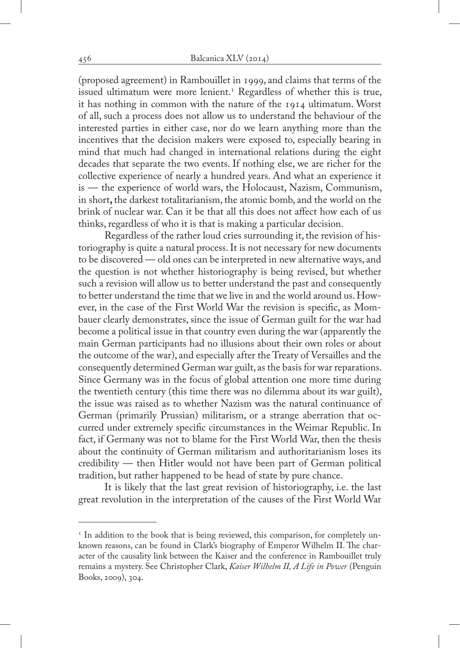(proposed agreement) in Rambouillet in 1999, and claims that terms of the issued ultimatum were more lenient.1 Regardless of whether this is true, it has nothing in common with the nature of the 1914 ultimatum. Worst of all, such a process does not allow us to understand the behaviour of the interested parties in either case, nor do we learn anything more than the incentives that the decision makers were exposed to, especially bearing in mind that much had changed in international relations during the eight decades that separate the two events. If nothing else, we are richer for the collective experience of nearly a hundred years. And what an experience it is — the experience of world wars, the Holocaust, Nazism, Communism, in short**,** the darkest totalitarianism, the atomic bomb, and the world on the brink of nuclear war. Can it be that all this does not affect how each of us thinks, regardless of who it is that is making a particular decision.

Regardless of the rather loud cries surrounding it, the revision of historiography is quite a natural process. It is not necessary for new documents to be discovered — old ones can be interpreted in new alternative ways, and the question is not whether historiography is being revised, but whether such a revision will allow us to better understand the past and consequently to better understand the time that we live in and the world around us. However, in the case of the First World War the revision is specific, as Mombauer clearly demonstrates, since the issue of German guilt for the war had become a political issue in that country even during the war (apparently the main German participants had no illusions about their own roles or about the outcome of the war), and especially after the Treaty of Versailles and the consequently determined German war guilt, as the basis for war reparations. Since Germany was in the focus of global attention one more time during the twentieth century (this time there was no dilemma about its war guilt), the issue was raised as to whether Nazism was the natural continuance of German (primarily Prussian) militarism, or a strange aberration that occurred under extremely specific circumstances in the Weimar Republic. In fact, if Germany was not to blame for the First World War, then the thesis about the continuity of German militarism and authoritarianism loses its credibility — then Hitler would not have been part of German political tradition, but rather happened to be head of state by pure chance.

It is likely that the last great revision of historiography, i.e. the last great revolution in the interpretation of the causes of the First World War

<sup>&</sup>lt;sup>1</sup> In addition to the book that is being reviewed, this comparison, for completely unknown reasons, can be found in Clark's biography of Emperor Wilhelm II. The character of the causality link between the Kaiser and the conference in Rambouillet truly remains a mystery. See Christopher Clark, *Kaiser Wilhelm II, A Life in Power* (Penguin Books, 2009), 304.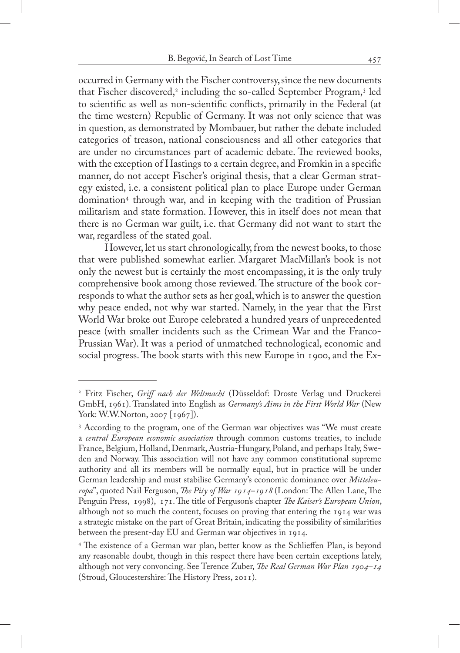occurred in Germany with the Fischer controversy, since the new documents that Fischer discovered,<sup>2</sup> including the so-called September Program,<sup>3</sup> led to scientific as well as non-scientific conflicts, primarily in the Federal (at the time western) Republic of Germany. It was not only science that was in question, as demonstrated by Mombauer, but rather the debate included categories of treason, national consciousness and all other categories that are under no circumstances part of academic debate. The reviewed books, with the exception of Hastings to a certain degree, and Fromkin in a specific manner, do not accept Fischer's original thesis, that a clear German strategy existed, i.e. a consistent political plan to place Europe under German domination4 through war, and in keeping with the tradition of Prussian militarism and state formation. However, this in itself does not mean that there is no German war guilt, i.e. that Germany did not want to start the war, regardless of the stated goal.

However, let us start chronologically, from the newest books, to those that were published somewhat earlier. Margaret MacMillan's book is not only the newest but is certainly the most encompassing, it is the only truly comprehensive book among those reviewed. The structure of the book corresponds to what the author sets as her goal, which is to answer the question why peace ended, not why war started. Namely, in the year that the First World War broke out Europe celebrated a hundred years of unprecedented peace (with smaller incidents such as the Crimean War and the Franco-Prussian War). It was a period of unmatched technological, economic and social progress. The book starts with this new Europe in 1900, and the Ex-

<sup>2</sup> Fritz Fischer, *Griff nach der Weltmacht* (Düsseldof: Droste Verlag und Druckerei GmbH, 1961). Translated into English as *Germany's Aims in the First World War* (New York: W.W.Norton, 2007 [1967]).

<sup>3</sup> According to the program, one of the German war objectives was "We must create a *central European economic association* through common customs treaties, to include France, Belgium, Holland, Denmark, Austria-Hungary, Poland, and perhaps Italy, Sweden and Norway. This association will not have any common constitutional supreme authority and all its members will be normally equal, but in practice will be under German leadership and must stabilise Germany's economic dominance over *Mitteleuropa*", quoted Nail Ferguson, *The Pity of War 1914–1918* (London: The Allen Lane, The Penguin Press, 1998), 171. The title of Ferguson's chapter *The Kaiser's European Union*, although not so much the content, focuses on proving that entering the 1914 war was a strategic mistake on the part of Great Britain, indicating the possibility of similarities between the present-day EU and German war objectives in 1914.

<sup>4</sup> The existence of a German war plan, better know as the Schlieffen Plan, is beyond any reasonable doubt, though in this respect there have been certain exceptions lately, although not very convoncing. See Terence Zuber, *The Real German War Plan 1904–14*  (Stroud, Gloucestershire: The History Press, 2011).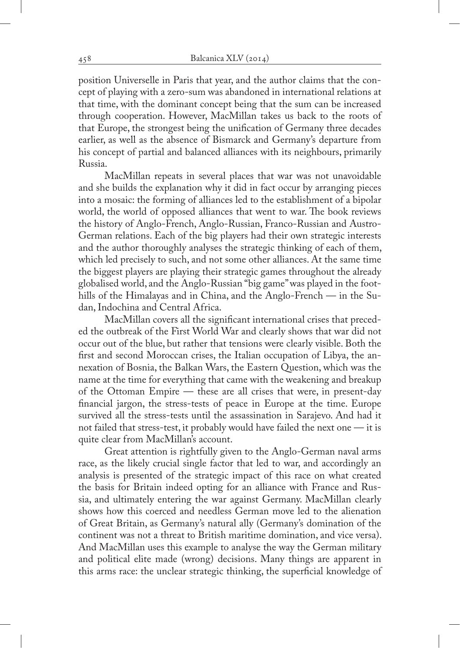position Universelle in Paris that year, and the author claims that the concept of playing with a zero-sum was abandoned in international relations at that time, with the dominant concept being that the sum can be increased through cooperation. However, MacMillan takes us back to the roots of that Europe, the strongest being the unification of Germany three decades earlier, as well as the absence of Bismarck and Germany's departure from his concept of partial and balanced alliances with its neighbours, primarily Russia.

MacMillan repeats in several places that war was not unavoidable and she builds the explanation why it did in fact occur by arranging pieces into a mosaic: the forming of alliances led to the establishment of a bipolar world, the world of opposed alliances that went to war. The book reviews the history of Anglo-French, Anglo-Russian, Franco-Russian and Austro-German relations. Each of the big players had their own strategic interests and the author thoroughly analyses the strategic thinking of each of them, which led precisely to such, and not some other alliances. At the same time the biggest players are playing their strategic games throughout the already globalised world, and the Anglo-Russian "big game" was played in the foothills of the Himalayas and in China, and the Anglo-French — in the Sudan, Indochina and Central Africa.

MacMillan covers all the significant international crises that preceded the outbreak of the First World War and clearly shows that war did not occur out of the blue, but rather that tensions were clearly visible. Both the first and second Moroccan crises, the Italian occupation of Libya, the annexation of Bosnia, the Balkan Wars, the Eastern Question, which was the name at the time for everything that came with the weakening and breakup of the Ottoman Empire — these are all crises that were, in present-day financial jargon, the stress-tests of peace in Europe at the time. Europe survived all the stress-tests until the assassination in Sarajevo. And had it not failed that stress-test, it probably would have failed the next one  $-$  it is quite clear from MacMillan's account.

Great attention is rightfully given to the Anglo-German naval arms race, as the likely crucial single factor that led to war, and accordingly an analysis is presented of the strategic impact of this race on what created the basis for Britain indeed opting for an alliance with France and Russia, and ultimately entering the war against Germany. MacMillan clearly shows how this coerced and needless German move led to the alienation of Great Britain, as Germany's natural ally (Germany's domination of the continent was not a threat to British maritime domination, and vice versa). And MacMillan uses this example to analyse the way the German military and political elite made (wrong) decisions. Many things are apparent in this arms race: the unclear strategic thinking, the superficial knowledge of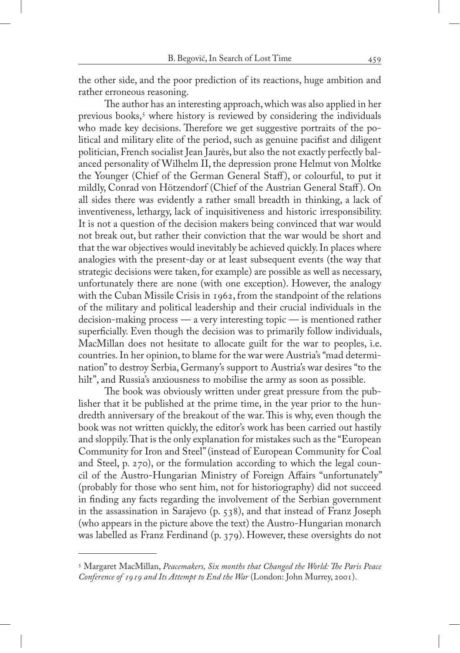the other side, and the poor prediction of its reactions, huge ambition and rather erroneous reasoning.

The author has an interesting approach, which was also applied in her previous books,5 where history is reviewed by considering the individuals who made key decisions. Therefore we get suggestive portraits of the political and military elite of the period, such as genuine pacifist and diligent politician, French socialist Jean Jaurès, but also the not exactly perfectly balanced personality of Wilhelm II, the depression prone Helmut von Moltke the Younger (Chief of the German General Staff ), or colourful, to put it mildly, Conrad von Hötzendorf (Chief of the Austrian General Staff ). On all sides there was evidently a rather small breadth in thinking, a lack of inventiveness, lethargy, lack of inquisitiveness and historic irresponsibility. It is not a question of the decision makers being convinced that war would not break out, but rather their conviction that the war would be short and that the war objectives would inevitably be achieved quickly. In places where analogies with the present-day or at least subsequent events (the way that strategic decisions were taken, for example) are possible as well as necessary, unfortunately there are none (with one exception). However, the analogy with the Cuban Missile Crisis in 1962, from the standpoint of the relations of the military and political leadership and their crucial individuals in the decision-making process — a very interesting topic — is mentioned rather superficially. Even though the decision was to primarily follow individuals, MacMillan does not hesitate to allocate guilt for the war to peoples, i.e. countries. In her opinion, to blame for the war were Austria's "mad determination" to destroy Serbia, Germany's support to Austria's war desires "to the hilt", and Russia's anxiousness to mobilise the army as soon as possible.

The book was obviously written under great pressure from the publisher that it be published at the prime time, in the year prior to the hundredth anniversary of the breakout of the war. This is why, even though the book was not written quickly, the editor's work has been carried out hastily and sloppily. That is the only explanation for mistakes such as the "European Community for Iron and Steel" (instead of European Community for Coal and Steel, p. 270), or the formulation according to which the legal council of the Austro-Hungarian Ministry of Foreign Affairs "unfortunately" (probably for those who sent him, not for historiography) did not succeed in finding any facts regarding the involvement of the Serbian government in the assassination in Sarajevo (p. 538), and that instead of Franz Joseph (who appears in the picture above the text) the Austro-Hungarian monarch was labelled as Franz Ferdinand (p. 379). However, these oversights do not

<sup>5</sup> Margaret MacMillan, *Peacemakers, Six months that Changed the World: The Paris Peace Conference of 1919 and Its Attempt to End the War* (London: John Murrey, 2001).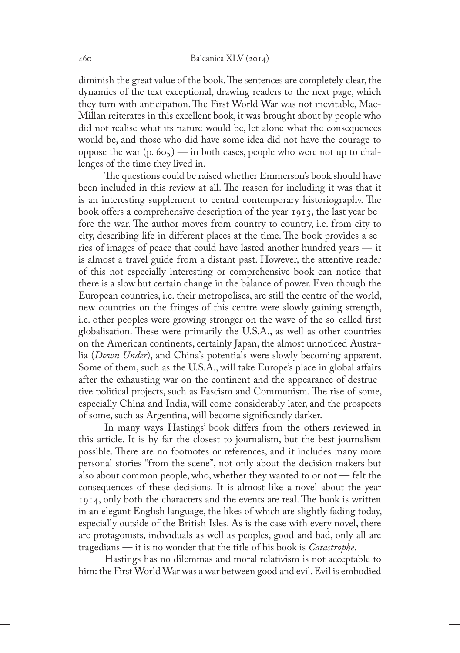diminish the great value of the book. The sentences are completely clear, the dynamics of the text exceptional, drawing readers to the next page, which they turn with anticipation. The First World War was not inevitable, Mac-Millan reiterates in this excellent book, it was brought about by people who did not realise what its nature would be, let alone what the consequences would be, and those who did have some idea did not have the courage to oppose the war  $(p. 605)$  — in both cases, people who were not up to challenges of the time they lived in.

The questions could be raised whether Emmerson's book should have been included in this review at all. The reason for including it was that it is an interesting supplement to central contemporary historiography. The book offers a comprehensive description of the year 1913, the last year before the war. The author moves from country to country, i.e. from city to city, describing life in different places at the time. The book provides a series of images of peace that could have lasted another hundred years — it is almost a travel guide from a distant past. However, the attentive reader of this not especially interesting or comprehensive book can notice that there is a slow but certain change in the balance of power. Even though the European countries, i.e. their metropolises, are still the centre of the world, new countries on the fringes of this centre were slowly gaining strength, i.e. other peoples were growing stronger on the wave of the so-called first globalisation. These were primarily the U.S.A., as well as other countries on the American continents, certainly Japan, the almost unnoticed Australia (*Down Under*), and China's potentials were slowly becoming apparent. Some of them, such as the U.S.A., will take Europe's place in global affairs after the exhausting war on the continent and the appearance of destructive political projects, such as Fascism and Communism. The rise of some, especially China and India, will come considerably later, and the prospects of some, such as Argentina, will become significantly darker.

In many ways Hastings' book differs from the others reviewed in this article. It is by far the closest to journalism, but the best journalism possible. There are no footnotes or references, and it includes many more personal stories "from the scene", not only about the decision makers but also about common people, who, whether they wanted to or not — felt the consequences of these decisions. It is almost like a novel about the year 1914, only both the characters and the events are real. The book is written in an elegant English language, the likes of which are slightly fading today, especially outside of the British Isles. As is the case with every novel, there are protagonists, individuals as well as peoples, good and bad, only all are tragedians — it is no wonder that the title of his book is *Catastrophe*.

Hastings has no dilemmas and moral relativism is not acceptable to him: the First World War was a war between good and evil. Evil is embodied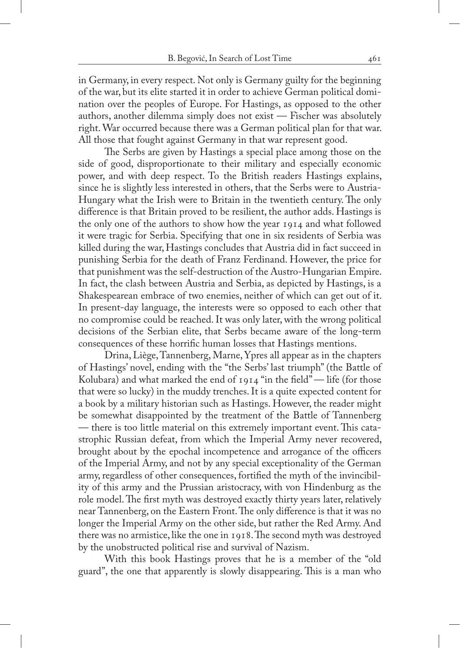in Germany, in every respect. Not only is Germany guilty for the beginning of the war, but its elite started it in order to achieve German political domination over the peoples of Europe. For Hastings, as opposed to the other authors, another dilemma simply does not exist — Fischer was absolutely right. War occurred because there was a German political plan for that war. All those that fought against Germany in that war represent good.

The Serbs are given by Hastings a special place among those on the side of good, disproportionate to their military and especially economic power, and with deep respect. To the British readers Hastings explains, since he is slightly less interested in others, that the Serbs were to Austria-Hungary what the Irish were to Britain in the twentieth century. The only difference is that Britain proved to be resilient, the author adds. Hastings is the only one of the authors to show how the year 1914 and what followed it were tragic for Serbia. Specifying that one in six residents of Serbia was killed during the war, Hastings concludes that Austria did in fact succeed in punishing Serbia for the death of Franz Ferdinand. However, the price for that punishment was the self-destruction of the Austro-Hungarian Empire. In fact, the clash between Austria and Serbia, as depicted by Hastings, is a Shakespearean embrace of two enemies, neither of which can get out of it. In present-day language, the interests were so opposed to each other that no compromise could be reached. It was only later, with the wrong political decisions of the Serbian elite, that Serbs became aware of the long-term consequences of these horrific human losses that Hastings mentions.

Drina, Liège, Tannenberg, Marne, Ypres all appear as in the chapters of Hastings' novel, ending with the "the Serbs' last triumph" (the Battle of Kolubara) and what marked the end of  $1914$  "in the field" — life (for those that were so lucky) in the muddy trenches. It is a quite expected content for a book by a military historian such as Hastings. However, the reader might be somewhat disappointed by the treatment of the Battle of Tannenberg — there is too little material on this extremely important event. This catastrophic Russian defeat, from which the Imperial Army never recovered, brought about by the epochal incompetence and arrogance of the officers of the Imperial Army, and not by any special exceptionality of the German army, regardless of other consequences, fortified the myth of the invincibility of this army and the Prussian aristocracy, with von Hindenburg as the role model. The first myth was destroyed exactly thirty years later, relatively near Tannenberg, on the Eastern Front. The only difference is that it was no longer the Imperial Army on the other side, but rather the Red Army. And there was no armistice, like the one in 1918. The second myth was destroyed by the unobstructed political rise and survival of Nazism.

With this book Hastings proves that he is a member of the "old guard", the one that apparently is slowly disappearing. This is a man who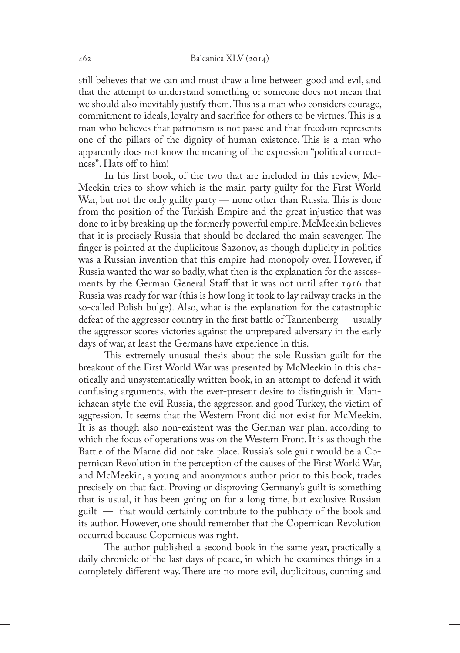still believes that we can and must draw a line between good and evil, and that the attempt to understand something or someone does not mean that we should also inevitably justify them. This is a man who considers courage, commitment to ideals, loyalty and sacrifice for others to be virtues. This is a man who believes that patriotism is not passé and that freedom represents one of the pillars of the dignity of human existence. This is a man who apparently does not know the meaning of the expression "political correctness". Hats off to him!

In his first book, of the two that are included in this review, Mc-Meekin tries to show which is the main party guilty for the First World War, but not the only guilty party — none other than Russia. This is done from the position of the Turkish Empire and the great injustice that was done to it by breaking up the formerly powerful empire. McMeekin believes that it is precisely Russia that should be declared the main scavenger. The finger is pointed at the duplicitous Sazonov, as though duplicity in politics was a Russian invention that this empire had monopoly over. However, if Russia wanted the war so badly, what then is the explanation for the assessments by the German General Staff that it was not until after 1916 that Russia was ready for war (this is how long it took to lay railway tracks in the so-called Polish bulge). Also, what is the explanation for the catastrophic defeat of the aggressor country in the first battle of Tannenberrg — usually the aggressor scores victories against the unprepared adversary in the early days of war, at least the Germans have experience in this.

This extremely unusual thesis about the sole Russian guilt for the breakout of the First World War was presented by McMeekin in this chaotically and unsystematically written book, in an attempt to defend it with confusing arguments, with the ever-present desire to distinguish in Manichaean style the evil Russia, the aggressor, and good Turkey, the victim of aggression. It seems that the Western Front did not exist for McMeekin. It is as though also non-existent was the German war plan, according to which the focus of operations was on the Western Front. It is as though the Battle of the Marne did not take place. Russia's sole guilt would be a Copernican Revolution in the perception of the causes of the First World War, and McMeekin, a young and anonymous author prior to this book, trades precisely on that fact. Proving or disproving Germany's guilt is something that is usual, it has been going on for a long time, but exclusive Russian guilt — that would certainly contribute to the publicity of the book and its author. However, one should remember that the Copernican Revolution occurred because Copernicus was right.

The author published a second book in the same year, practically a daily chronicle of the last days of peace, in which he examines things in a completely different way. There are no more evil, duplicitous, cunning and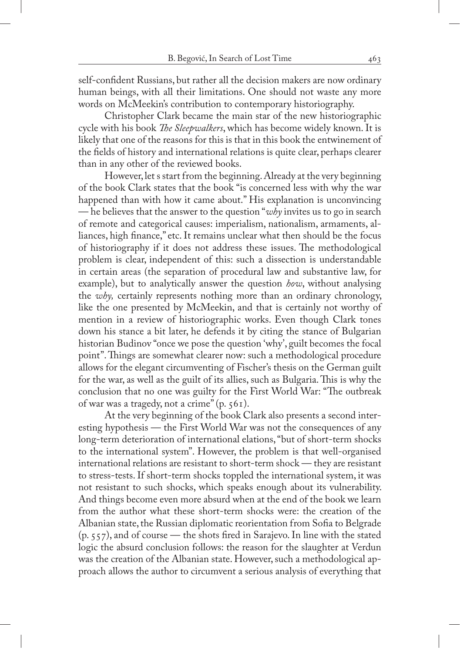self-confident Russians, but rather all the decision makers are now ordinary human beings, with all their limitations. One should not waste any more words on McMeekin's contribution to contemporary historiography.

Christopher Clark became the main star of the new historiographic cycle with his book *The Sleepwalkers*, which has become widely known. It is likely that one of the reasons for this is that in this book the entwinement of the fields of history and international relations is quite clear, perhaps clearer than in any other of the reviewed books.

However, let s start from the beginning. Already at the very beginning of the book Clark states that the book "is concerned less with why the war happened than with how it came about." His explanation is unconvincing — he believes that the answer to the question "*why* invites us to go in search of remote and categorical causes: imperialism, nationalism, armaments, alliances, high finance," etc. It remains unclear what then should be the focus of historiography if it does not address these issues. The methodological problem is clear, independent of this: such a dissection is understandable in certain areas (the separation of procedural law and substantive law, for example), but to analytically answer the question *how*, without analysing the *why,* certainly represents nothing more than an ordinary chronology, like the one presented by McMeekin, and that is certainly not worthy of mention in a review of historiographic works. Even though Clark tones down his stance a bit later, he defends it by citing the stance of Bulgarian historian Budinov "once we pose the question 'why', guilt becomes the focal point". Things are somewhat clearer now: such a methodological procedure allows for the elegant circumventing of Fischer's thesis on the German guilt for the war, as well as the guilt of its allies, such as Bulgaria. This is why the conclusion that no one was guilty for the First World War: "The outbreak of war was a tragedy, not a crime" (p. 561).

At the very beginning of the book Clark also presents a second interesting hypothesis — the First World War was not the consequences of any long-term deterioration of international elations, "but of short-term shocks to the international system". However, the problem is that well-organised international relations are resistant to short-term shock — they are resistant to stress-tests. If short-term shocks toppled the international system, it was not resistant to such shocks, which speaks enough about its vulnerability. And things become even more absurd when at the end of the book we learn from the author what these short-term shocks were: the creation of the Albanian state, the Russian diplomatic reorientation from Sofia to Belgrade  $(p. 557)$ , and of course — the shots fired in Sarajevo. In line with the stated logic the absurd conclusion follows: the reason for the slaughter at Verdun was the creation of the Albanian state. However, such a methodological approach allows the author to circumvent a serious analysis of everything that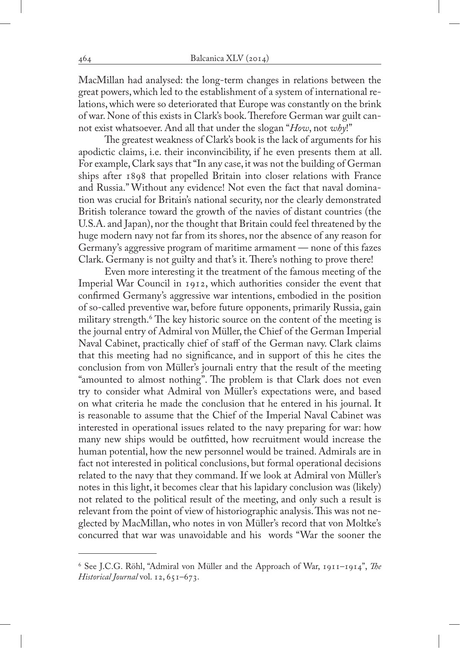MacMillan had analysed: the long-term changes in relations between the great powers, which led to the establishment of a system of international relations, which were so deteriorated that Europe was constantly on the brink of war. None of this exists in Clark's book. Therefore German war guilt cannot exist whatsoever. And all that under the slogan "*How*, not *why*!"

The greatest weakness of Clark's book is the lack of arguments for his apodictic claims, i.e. their inconvincibility, if he even presents them at all. For example, Clark says that "In any case, it was not the building of German ships after 1898 that propelled Britain into closer relations with France and Russia." Without any evidence! Not even the fact that naval domination was crucial for Britain's national security, nor the clearly demonstrated British tolerance toward the growth of the navies of distant countries (the U.S.A. and Japan), nor the thought that Britain could feel threatened by the huge modern navy not far from its shores, nor the absence of any reason for Germany's aggressive program of maritime armament — none of this fazes Clark. Germany is not guilty and that's it. There's nothing to prove there!

Even more interesting it the treatment of the famous meeting of the Imperial War Council in 1912, which authorities consider the event that confirmed Germany's aggressive war intentions, embodied in the position of so-called preventive war, before future opponents, primarily Russia, gain military strength.<sup>6</sup> The key historic source on the content of the meeting is the journal entry of Admiral von Müller, the Chief of the German Imperial Naval Cabinet, practically chief of staff of the German navy. Clark claims that this meeting had no significance, and in support of this he cites the conclusion from von Müller's journali entry that the result of the meeting "amounted to almost nothing". The problem is that Clark does not even try to consider what Admiral von Müller's expectations were, and based on what criteria he made the conclusion that he entered in his journal. It is reasonable to assume that the Chief of the Imperial Naval Cabinet was interested in operational issues related to the navy preparing for war: how many new ships would be outfitted, how recruitment would increase the human potential, how the new personnel would be trained. Admirals are in fact not interested in political conclusions, but formal operational decisions related to the navy that they command. If we look at Admiral von Müller's notes in this light, it becomes clear that his lapidary conclusion was (likely) not related to the political result of the meeting, and only such a result is relevant from the point of view of historiographic analysis. This was not neglected by MacMillan, who notes in von Müller's record that von Moltke's concurred that war was unavoidable and his words "War the sooner the

<sup>6</sup> See J.C.G. Röhl, "Admiral von Müller and the Approach of War, 1911–1914", *The Historical Journal* vol. 12, 651–673.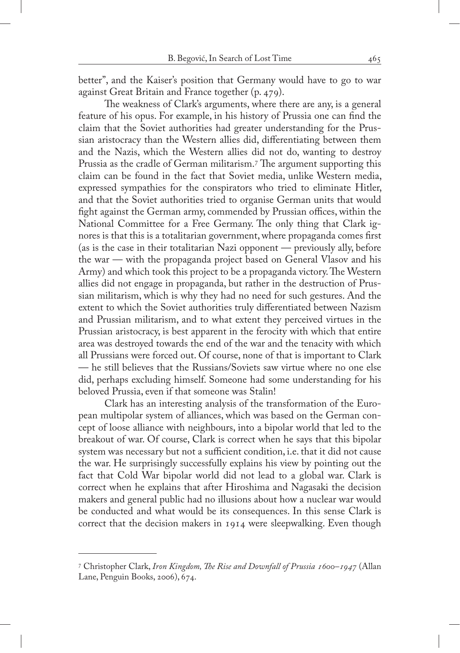better", and the Kaiser's position that Germany would have to go to war against Great Britain and France together (p. 479).

The weakness of Clark's arguments, where there are any, is a general feature of his opus. For example, in his history of Prussia one can find the claim that the Soviet authorities had greater understanding for the Prussian aristocracy than the Western allies did, differentiating between them and the Nazis, which the Western allies did not do, wanting to destroy Prussia as the cradle of German militarism.<sup>7</sup> The argument supporting this claim can be found in the fact that Soviet media, unlike Western media, expressed sympathies for the conspirators who tried to eliminate Hitler, and that the Soviet authorities tried to organise German units that would fight against the German army, commended by Prussian offices, within the National Committee for a Free Germany. The only thing that Clark ignores is that this is a totalitarian government, where propaganda comes first (as is the case in their totalitarian Nazi opponent — previously ally, before the war — with the propaganda project based on General Vlasov and his Army) and which took this project to be a propaganda victory. The Western allies did not engage in propaganda, but rather in the destruction of Prussian militarism, which is why they had no need for such gestures. And the extent to which the Soviet authorities truly differentiated between Nazism and Prussian militarism, and to what extent they perceived virtues in the Prussian aristocracy, is best apparent in the ferocity with which that entire area was destroyed towards the end of the war and the tenacity with which all Prussians were forced out. Of course, none of that is important to Clark — he still believes that the Russians/Soviets saw virtue where no one else did, perhaps excluding himself. Someone had some understanding for his beloved Prussia, even if that someone was Stalin!

Clark has an interesting analysis of the transformation of the European multipolar system of alliances, which was based on the German concept of loose alliance with neighbours, into a bipolar world that led to the breakout of war. Of course, Clark is correct when he says that this bipolar system was necessary but not a sufficient condition, i.e. that it did not cause the war. He surprisingly successfully explains his view by pointing out the fact that Cold War bipolar world did not lead to a global war. Clark is correct when he explains that after Hiroshima and Nagasaki the decision makers and general public had no illusions about how a nuclear war would be conducted and what would be its consequences. In this sense Clark is correct that the decision makers in 1914 were sleepwalking. Even though

<sup>7</sup> Christopher Clark, *Iron Kingdom, The Rise and Downfall of Prussia 1600–1947* (Allan Lane, Penguin Books, 2006), 674.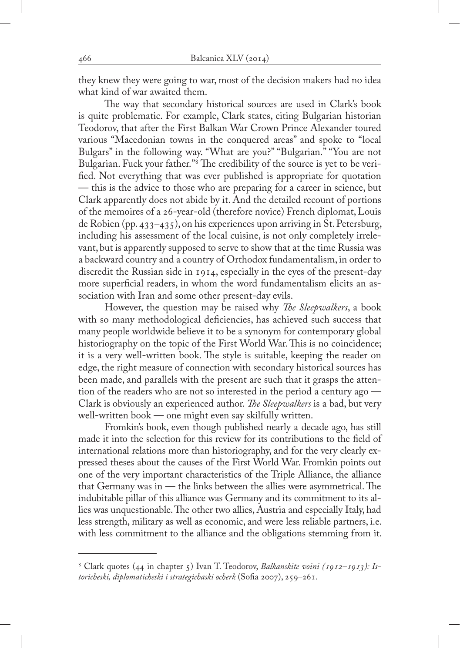they knew they were going to war, most of the decision makers had no idea what kind of war awaited them.

The way that secondary historical sources are used in Clark's book is quite problematic. For example, Clark states, citing Bulgarian historian Teodorov, that after the First Balkan War Crown Prince Alexander toured various "Macedonian towns in the conquered areas" and spoke to "local Bulgars" in the following way. "What are you?" "Bulgarian." "You are not Bulgarian. Fuck your father."8 The credibility of the source is yet to be verified. Not everything that was ever published is appropriate for quotation — this is the advice to those who are preparing for a career in science, but Clark apparently does not abide by it. And the detailed recount of portions of the memoires of a 26-year-old (therefore novice) French diplomat, Louis de Robien (pp. 433–435), on his experiences upon arriving in St. Petersburg, including his assessment of the local cuisine, is not only completely irrelevant, but is apparently supposed to serve to show that at the time Russia was a backward country and a country of Orthodox fundamentalism, in order to discredit the Russian side in 1914, especially in the eyes of the present-day more superficial readers, in whom the word fundamentalism elicits an association with Iran and some other present-day evils.

However, the question may be raised why *The Sleepwalkers*, a book with so many methodological deficiencies, has achieved such success that many people worldwide believe it to be a synonym for contemporary global historiography on the topic of the First World War. This is no coincidence; it is a very well-written book. The style is suitable, keeping the reader on edge, the right measure of connection with secondary historical sources has been made, and parallels with the present are such that it grasps the attention of the readers who are not so interested in the period a century ago — Clark is obviously an experienced author. *The Sleepwalkers* is a bad, but very well-written book — one might even say skilfully written.

Fromkin's book, even though published nearly a decade ago, has still made it into the selection for this review for its contributions to the field of international relations more than historiography, and for the very clearly expressed theses about the causes of the First World War. Fromkin points out one of the very important characteristics of the Triple Alliance, the alliance that Germany was in — the links between the allies were asymmetrical. The indubitable pillar of this alliance was Germany and its commitment to its allies was unquestionable. The other two allies, Austria and especially Italy, had less strength, military as well as economic, and were less reliable partners, i.e. with less commitment to the alliance and the obligations stemming from it.

<sup>8</sup> Clark quotes (44 in chapter 5) Ivan T. Teodorov, *Balkanskite voini (1912–1913): Istoricheski, diplomaticheski i strategichaski ocherk* (Sofia 2007), 259–261.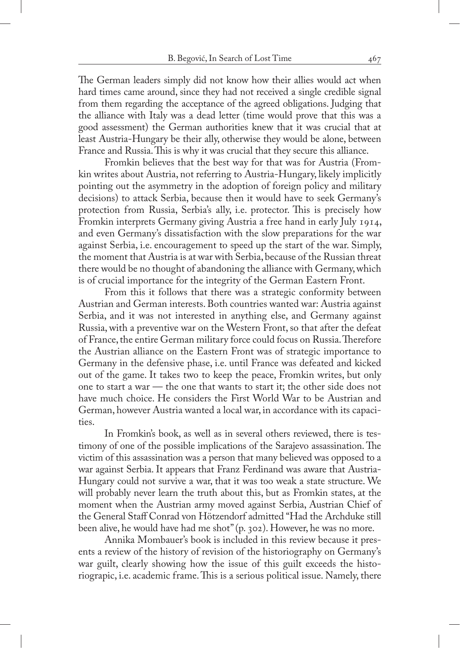The German leaders simply did not know how their allies would act when hard times came around, since they had not received a single credible signal from them regarding the acceptance of the agreed obligations. Judging that the alliance with Italy was a dead letter (time would prove that this was a good assessment) the German authorities knew that it was crucial that at least Austria-Hungary be their ally, otherwise they would be alone, between France and Russia. This is why it was crucial that they secure this alliance.

Fromkin believes that the best way for that was for Austria (Fromkin writes about Austria, not referring to Austria-Hungary, likely implicitly pointing out the asymmetry in the adoption of foreign policy and military decisions) to attack Serbia, because then it would have to seek Germany's protection from Russia, Serbia's ally, i.e. protector. This is precisely how Fromkin interprets Germany giving Austria a free hand in early July 1914, and even Germany's dissatisfaction with the slow preparations for the war against Serbia, i.e. encouragement to speed up the start of the war. Simply, the moment that Austria is at war with Serbia, because of the Russian threat there would be no thought of abandoning the alliance with Germany, which is of crucial importance for the integrity of the German Eastern Front.

From this it follows that there was a strategic conformity between Austrian and German interests. Both countries wanted war: Austria against Serbia, and it was not interested in anything else, and Germany against Russia, with a preventive war on the Western Front, so that after the defeat of France, the entire German military force could focus on Russia. Therefore the Austrian alliance on the Eastern Front was of strategic importance to Germany in the defensive phase, i.e. until France was defeated and kicked out of the game. It takes two to keep the peace, Fromkin writes, but only one to start a war — the one that wants to start it; the other side does not have much choice. He considers the First World War to be Austrian and German, however Austria wanted a local war, in accordance with its capacities.

In Fromkin's book, as well as in several others reviewed, there is testimony of one of the possible implications of the Sarajevo assassination. The victim of this assassination was a person that many believed was opposed to a war against Serbia. It appears that Franz Ferdinand was aware that Austria-Hungary could not survive a war, that it was too weak a state structure. We will probably never learn the truth about this, but as Fromkin states, at the moment when the Austrian army moved against Serbia, Austrian Chief of the General Staff Conrad von Hötzendorf admitted "Had the Archduke still been alive, he would have had me shot" (p. 302). However, he was no more.

Annika Mombauer's book is included in this review because it presents a review of the history of revision of the historiography on Germany's war guilt, clearly showing how the issue of this guilt exceeds the historiograpic, i.e. academic frame. This is a serious political issue. Namely, there